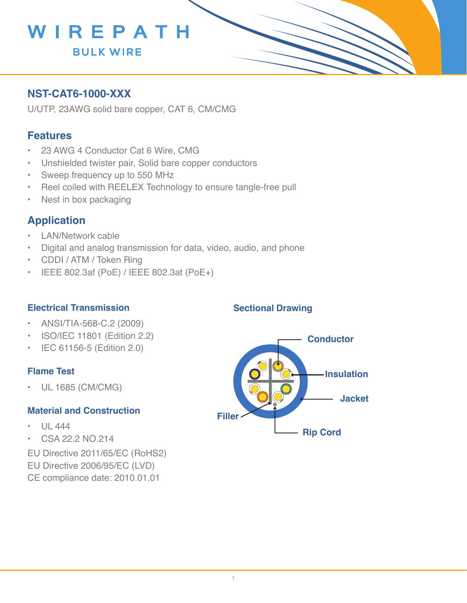

## **NST-CAT6-1000-XXX**

U/UTP, 23AWG solid bare copper, CAT 6, CM/CMG

### **Features**

- 23 AWG 4 Conductor Cat 6 Wire, CMG
- Unshielded twister pair, Solid bare copper conductors
- Sweep frequency up to 550 MHz
- Reel coiled with REELEX Technology to ensure tangle-free pull
- Nest in box packaging

## **Application**

- LAN/Network cable
- Digital and analog transmission for data, video, audio, and phone
- • CDDI / ATM / Token Ring
- • IEEE 802.3af (PoE) / IEEE 802.3at (PoE+)

#### **Electrical Transmission**

- • ANSI/TIA-568-C.2 (2009)
- ISO/IEC 11801 (Edition 2.2)
- • IEC 61156-5 (Edition 2.0)

#### **Flame Test**

• UL 1685 (CM/CMG)

#### **Material and Construction**

- $|$  $|$  444
- • CSA 22.2 NO.214

EU Directive 2011/65/EC (RoHS2) EU Directive 2006/95/EC (LVD) CE compliance date: 2010.01.01



**Sectional Drawing**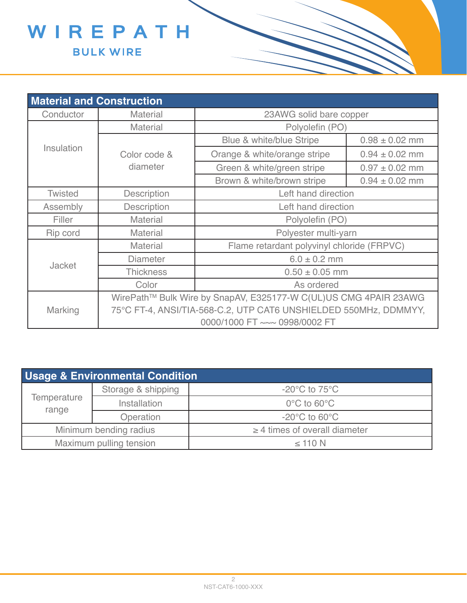

| <b>Material and Construction</b> |                                                                  |                                            |                    |  |  |  |
|----------------------------------|------------------------------------------------------------------|--------------------------------------------|--------------------|--|--|--|
| Conductor                        | <b>Material</b>                                                  | 23AWG solid bare copper                    |                    |  |  |  |
| Insulation                       | <b>Material</b>                                                  | Polyolefin (PO)                            |                    |  |  |  |
|                                  |                                                                  | Blue & white/blue Stripe                   | $0.98 \pm 0.02$ mm |  |  |  |
|                                  | Color code &                                                     | Orange & white/orange stripe               | $0.94 \pm 0.02$ mm |  |  |  |
|                                  | diameter                                                         | Green & white/green stripe                 | $0.97 \pm 0.02$ mm |  |  |  |
|                                  |                                                                  | Brown & white/brown stripe                 | $0.94 \pm 0.02$ mm |  |  |  |
| <b>Twisted</b>                   | <b>Description</b>                                               | Left hand direction                        |                    |  |  |  |
| Assembly                         | <b>Description</b>                                               | Left hand direction                        |                    |  |  |  |
| Filler                           | <b>Material</b>                                                  | Polyolefin (PO)                            |                    |  |  |  |
| Rip cord                         | <b>Material</b>                                                  | Polyester multi-yarn                       |                    |  |  |  |
|                                  | <b>Material</b>                                                  | Flame retardant polyvinyl chloride (FRPVC) |                    |  |  |  |
|                                  | <b>Diameter</b>                                                  | $6.0 \pm 0.2$ mm                           |                    |  |  |  |
| <b>Jacket</b>                    | <b>Thickness</b>                                                 | $0.50 \pm 0.05$ mm                         |                    |  |  |  |
|                                  | Color                                                            | As ordered                                 |                    |  |  |  |
| <b>Marking</b>                   | WirePath™ Bulk Wire by SnapAV, E325177-W C(UL)US CMG 4PAIR 23AWG |                                            |                    |  |  |  |
|                                  | 75°C FT-4, ANSI/TIA-568-C.2, UTP CAT6 UNSHIELDED 550MHz, DDMMYY, |                                            |                    |  |  |  |
|                                  | 0000/1000 FT ~~~ 0998/0002 FT                                    |                                            |                    |  |  |  |

| <b>Usage &amp; Environmental Condition</b> |                    |                                    |  |  |  |
|--------------------------------------------|--------------------|------------------------------------|--|--|--|
| Temperature<br>range                       | Storage & shipping | $-20^{\circ}$ C to 75 $^{\circ}$ C |  |  |  |
|                                            | Installation       | $0^{\circ}$ C to 60 $^{\circ}$ C   |  |  |  |
|                                            | Operation          | $-20^{\circ}$ C to 60 $^{\circ}$ C |  |  |  |
| Minimum bending radius                     |                    | $\geq$ 4 times of overall diameter |  |  |  |
| Maximum pulling tension                    |                    | $\leq$ 110 N                       |  |  |  |